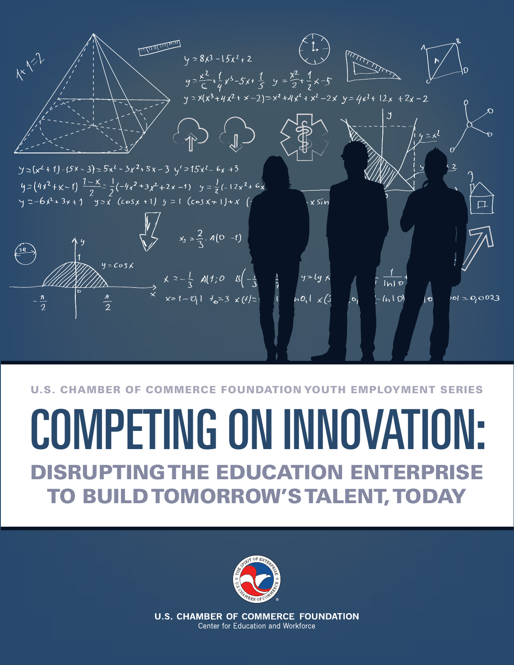

#### U.S. CHAMBER OF COMMERCE FOUNDATION YOUTH EMPLOYMENT SERIES

## COMPETING ON INNOVATION: **GTHE EDUCATION ENTERPRISE** TO BUILD TOMORROW'S TALENT, TODAY



**U.S. CHAMBER OF COMMERCE FOUNDATION** Center for Education and Workforce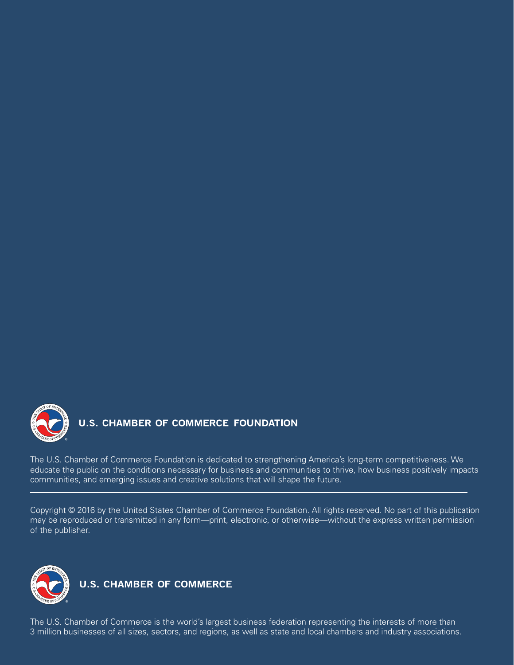

### **U.S. CHAMBER OF COMMERCE FOUNDATION**

The U.S. Chamber of Commerce Foundation is dedicated to strengthening America's long-term competitiveness. We educate the public on the conditions necessary for business and communities to thrive, how business positively impacts communities, and emerging issues and creative solutions that will shape the future.

Copyright © 2016 by the United States Chamber of Commerce Foundation. All rights reserved. No part of this publication may be reproduced or transmitted in any form—print, electronic, or otherwise—without the express written permission of the publisher.



**U.S. CHAMBER OF COMMERCE** 

The U.S. Chamber of Commerce is the world's largest business federation representing the interests of more than 3 million businesses of all sizes, sectors, and regions, as well as state and local chambers and industry associations.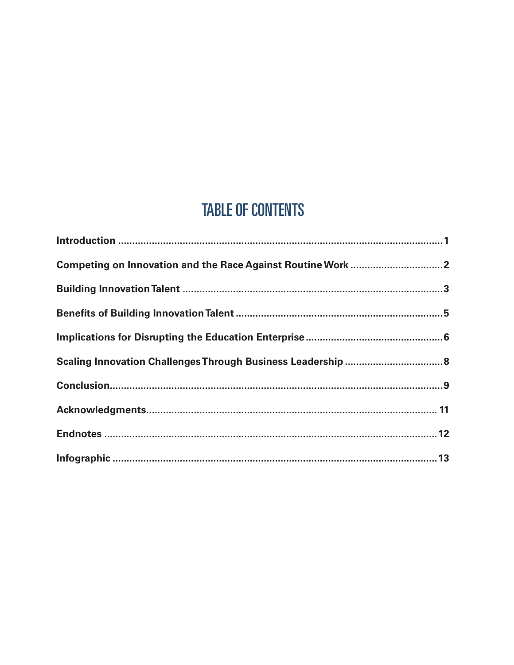## **TABLE OF CONTENTS**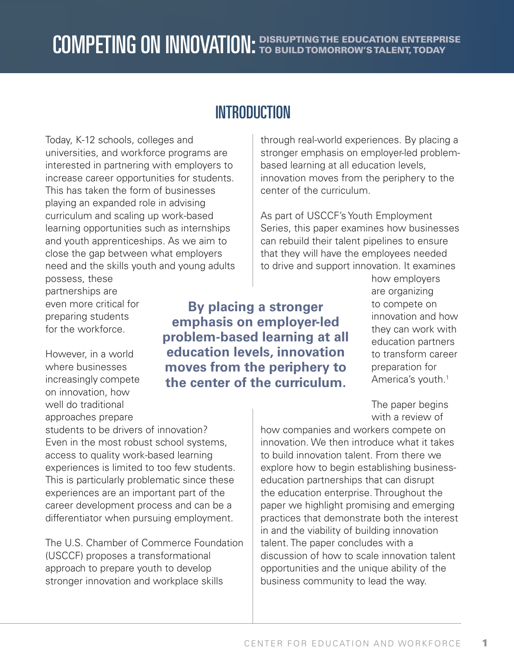## **INTRODUCTION**

Today, K-12 schools, colleges and universities, and workforce programs are interested in partnering with employers to increase career opportunities for students. This has taken the form of businesses playing an expanded role in advising curriculum and scaling up work-based learning opportunities such as internships and youth apprenticeships. As we aim to close the gap between what employers need and the skills youth and young adults through real-world experiences. By placing a stronger emphasis on employer-led problembased learning at all education levels, innovation moves from the periphery to the center of the curriculum.

As part of USCCF's Youth Employment Series, this paper examines how businesses can rebuild their talent pipelines to ensure that they will have the employees needed to drive and support innovation. It examines

possess, these partnerships are even more critical for preparing students for the workforce.

However, in a world where businesses increasingly compete on innovation, how well do traditional approaches prepare

**By placing a stronger emphasis on employer-led problem-based learning at all education levels, innovation moves from the periphery to the center of the curriculum.**

how employers are organizing to compete on innovation and how they can work with education partners to transform career preparation for America's youth.<sup>1</sup>

The paper begins with a review of

how companies and workers compete on innovation. We then introduce what it takes to build innovation talent. From there we explore how to begin establishing businesseducation partnerships that can disrupt the education enterprise. Throughout the paper we highlight promising and emerging practices that demonstrate both the interest in and the viability of building innovation talent. The paper concludes with a discussion of how to scale innovation talent opportunities and the unique ability of the business community to lead the way.

students to be drivers of innovation? Even in the most robust school systems, access to quality work-based learning experiences is limited to too few students. This is particularly problematic since these experiences are an important part of the career development process and can be a differentiator when pursuing employment.

The U.S. Chamber of Commerce Foundation (USCCF) proposes a transformational approach to prepare youth to develop stronger innovation and workplace skills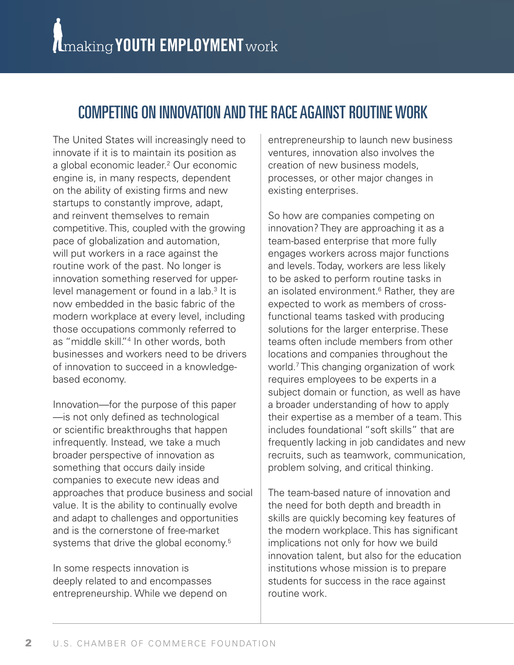## COMPETING ON INNOVATION AND THE RACE AGAINST ROUTINE WORK

The United States will increasingly need to innovate if it is to maintain its position as a global economic leader.2 Our economic engine is, in many respects, dependent on the ability of existing firms and new startups to constantly improve, adapt, and reinvent themselves to remain competitive. This, coupled with the growing pace of globalization and automation, will put workers in a race against the routine work of the past. No longer is innovation something reserved for upperlevel management or found in a lab.<sup>3</sup> It is now embedded in the basic fabric of the modern workplace at every level, including those occupations commonly referred to as "middle skill."4 In other words, both businesses and workers need to be drivers of innovation to succeed in a knowledgebased economy.

Innovation—for the purpose of this paper —is not only defined as technological or scientific breakthroughs that happen infrequently. Instead, we take a much broader perspective of innovation as something that occurs daily inside companies to execute new ideas and approaches that produce business and social value. It is the ability to continually evolve and adapt to challenges and opportunities and is the cornerstone of free-market systems that drive the global economy.<sup>5</sup>

In some respects innovation is deeply related to and encompasses entrepreneurship. While we depend on

entrepreneurship to launch new business ventures, innovation also involves the creation of new business models, processes, or other major changes in existing enterprises.

So how are companies competing on innovation? They are approaching it as a team-based enterprise that more fully engages workers across major functions and levels. Today, workers are less likely to be asked to perform routine tasks in an isolated environment.<sup>6</sup> Rather, they are expected to work as members of crossfunctional teams tasked with producing solutions for the larger enterprise. These teams often include members from other locations and companies throughout the world.7 This changing organization of work requires employees to be experts in a subject domain or function, as well as have a broader understanding of how to apply their expertise as a member of a team. This includes foundational "soft skills" that are frequently lacking in job candidates and new recruits, such as teamwork, communication, problem solving, and critical thinking.

The team-based nature of innovation and the need for both depth and breadth in skills are quickly becoming key features of the modern workplace. This has significant implications not only for how we build innovation talent, but also for the education institutions whose mission is to prepare students for success in the race against routine work.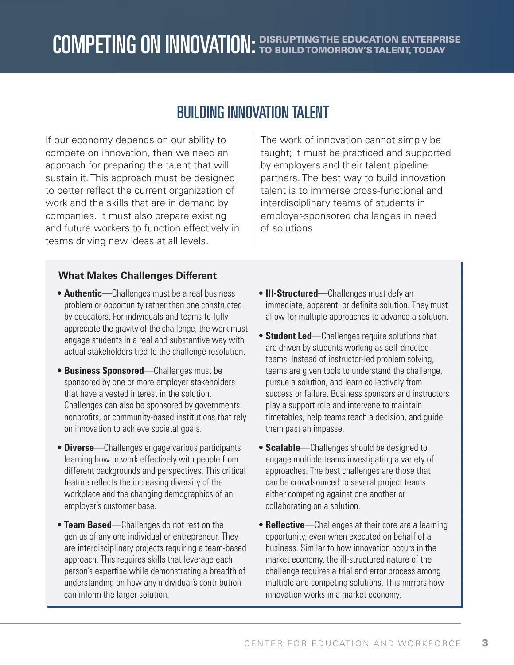## BUILDING INNOVATION TALENT

If our economy depends on our ability to compete on innovation, then we need an approach for preparing the talent that will sustain it. This approach must be designed to better reflect the current organization of work and the skills that are in demand by companies. It must also prepare existing and future workers to function effectively in teams driving new ideas at all levels.

The work of innovation cannot simply be taught; it must be practiced and supported by employers and their talent pipeline partners. The best way to build innovation talent is to immerse cross-functional and interdisciplinary teams of students in employer-sponsored challenges in need of solutions.

#### **What Makes Challenges Different**

- **Authentic**—Challenges must be a real business problem or opportunity rather than one constructed by educators. For individuals and teams to fully appreciate the gravity of the challenge, the work must engage students in a real and substantive way with actual stakeholders tied to the challenge resolution.
- **Business Sponsored**—Challenges must be sponsored by one or more employer stakeholders that have a vested interest in the solution. Challenges can also be sponsored by governments, nonprofits, or community-based institutions that rely on innovation to achieve societal goals.
- **Diverse**—Challenges engage various participants learning how to work effectively with people from different backgrounds and perspectives. This critical feature reflects the increasing diversity of the workplace and the changing demographics of an employer's customer base.
- **Team Based**—Challenges do not rest on the genius of any one individual or entrepreneur. They are interdisciplinary projects requiring a team-based approach. This requires skills that leverage each person's expertise while demonstrating a breadth of understanding on how any individual's contribution can inform the larger solution.
- **Ill-Structured**—Challenges must defy an immediate, apparent, or definite solution. They must allow for multiple approaches to advance a solution.
- **Student Led**—Challenges require solutions that are driven by students working as self-directed teams. Instead of instructor-led problem solving, teams are given tools to understand the challenge, pursue a solution, and learn collectively from success or failure. Business sponsors and instructors play a support role and intervene to maintain timetables, help teams reach a decision, and guide them past an impasse.
- **Scalable**—Challenges should be designed to engage multiple teams investigating a variety of approaches. The best challenges are those that can be crowdsourced to several project teams either competing against one another or collaborating on a solution.
- **Reflective**—Challenges at their core are a learning opportunity, even when executed on behalf of a business. Similar to how innovation occurs in the market economy, the ill-structured nature of the challenge requires a trial and error process among multiple and competing solutions. This mirrors how innovation works in a market economy.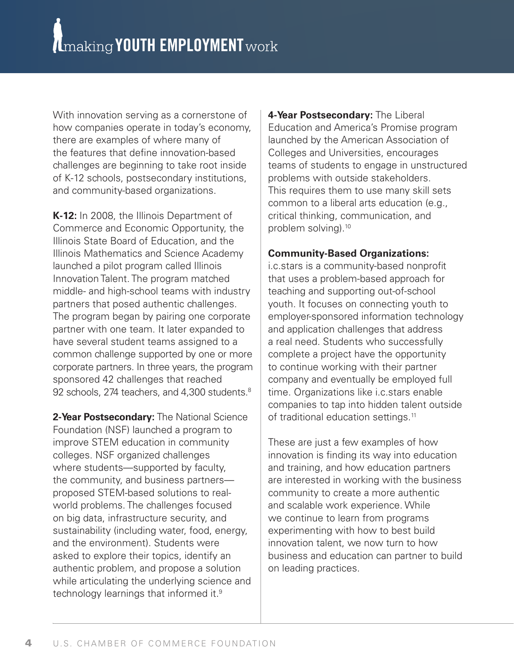With innovation serving as a cornerstone of how companies operate in today's economy, there are examples of where many of the features that define innovation-based challenges are beginning to take root inside of K-12 schools, postsecondary institutions, and community-based organizations.

**K-12:** In 2008, the Illinois Department of Commerce and Economic Opportunity, the Illinois State Board of Education, and the Illinois Mathematics and Science Academy launched a pilot program called Illinois Innovation Talent. The program matched middle- and high-school teams with industry partners that posed authentic challenges. The program began by pairing one corporate partner with one team. It later expanded to have several student teams assigned to a common challenge supported by one or more corporate partners. In three years, the program sponsored 42 challenges that reached 92 schools, 274 teachers, and 4,300 students. $8$ 

**2-Year Postsecondary:** The National Science Foundation (NSF) launched a program to improve STEM education in community colleges. NSF organized challenges where students—supported by faculty, the community, and business partners proposed STEM-based solutions to realworld problems. The challenges focused on big data, infrastructure security, and sustainability (including water, food, energy, and the environment). Students were asked to explore their topics, identify an authentic problem, and propose a solution while articulating the underlying science and technology learnings that informed it.9

**4-Year Postsecondary:** The Liberal Education and America's Promise program launched by the American Association of Colleges and Universities, encourages teams of students to engage in unstructured problems with outside stakeholders. This requires them to use many skill sets common to a liberal arts education (e.g., critical thinking, communication, and problem solving).10

#### **Community-Based Organizations:**

i.c.stars is a community-based nonprofit that uses a problem-based approach for teaching and supporting out-of-school youth. It focuses on connecting youth to employer-sponsored information technology and application challenges that address a real need. Students who successfully complete a project have the opportunity to continue working with their partner company and eventually be employed full time. Organizations like i.c.stars enable companies to tap into hidden talent outside of traditional education settings.<sup>11</sup>

These are just a few examples of how innovation is finding its way into education and training, and how education partners are interested in working with the business community to create a more authentic and scalable work experience. While we continue to learn from programs experimenting with how to best build innovation talent, we now turn to how business and education can partner to build on leading practices.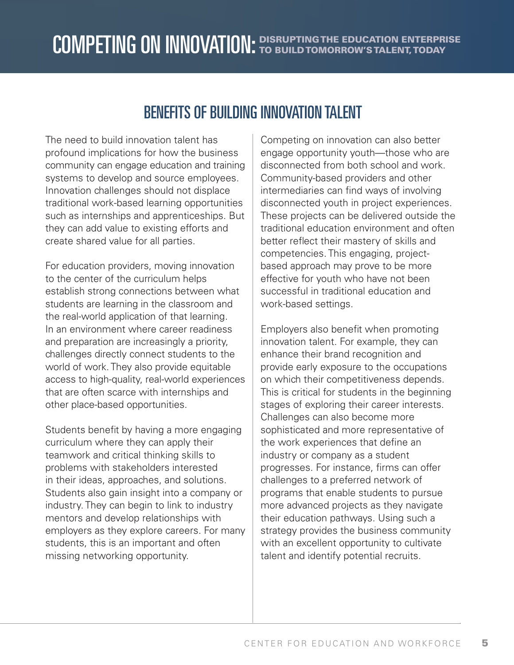## BENEFITS OF BUILDING INNOVATION TALENT

The need to build innovation talent has profound implications for how the business community can engage education and training systems to develop and source employees. Innovation challenges should not displace traditional work-based learning opportunities such as internships and apprenticeships. But they can add value to existing efforts and create shared value for all parties.

For education providers, moving innovation to the center of the curriculum helps establish strong connections between what students are learning in the classroom and the real-world application of that learning. In an environment where career readiness and preparation are increasingly a priority, challenges directly connect students to the world of work. They also provide equitable access to high-quality, real-world experiences that are often scarce with internships and other place-based opportunities.

Students benefit by having a more engaging curriculum where they can apply their teamwork and critical thinking skills to problems with stakeholders interested in their ideas, approaches, and solutions. Students also gain insight into a company or industry. They can begin to link to industry mentors and develop relationships with employers as they explore careers. For many students, this is an important and often missing networking opportunity.

Competing on innovation can also better engage opportunity youth—those who are disconnected from both school and work. Community-based providers and other intermediaries can find ways of involving disconnected youth in project experiences. These projects can be delivered outside the traditional education environment and often better reflect their mastery of skills and competencies. This engaging, projectbased approach may prove to be more effective for youth who have not been successful in traditional education and work-based settings.

Employers also benefit when promoting innovation talent. For example, they can enhance their brand recognition and provide early exposure to the occupations on which their competitiveness depends. This is critical for students in the beginning stages of exploring their career interests. Challenges can also become more sophisticated and more representative of the work experiences that define an industry or company as a student progresses. For instance, firms can offer challenges to a preferred network of programs that enable students to pursue more advanced projects as they navigate their education pathways. Using such a strategy provides the business community with an excellent opportunity to cultivate talent and identify potential recruits.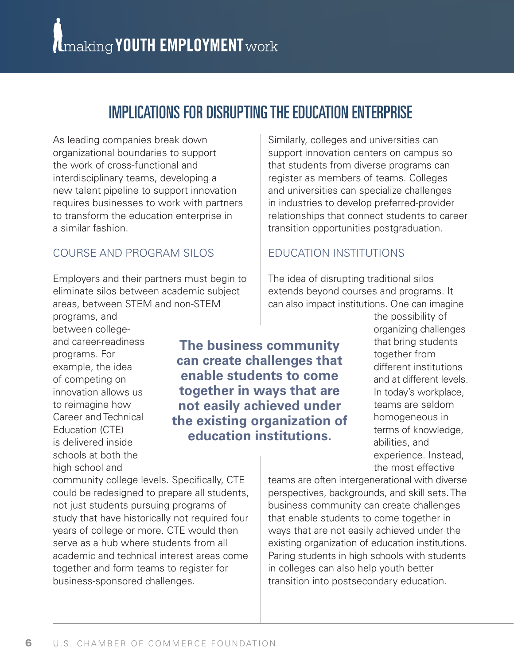## IMPLICATIONS FOR DISRUPTING THE EDUCATION ENTERPRISE

As leading companies break down organizational boundaries to support the work of cross-functional and interdisciplinary teams, developing a new talent pipeline to support innovation requires businesses to work with partners to transform the education enterprise in a similar fashion.

#### COURSE AND PROGRAM SILOS

Employers and their partners must begin to eliminate silos between academic subject areas, between STEM and non-STEM

programs, and between collegeand career-readiness programs. For example, the idea of competing on innovation allows us to reimagine how Career and Technical Education (CTE) is delivered inside schools at both the high school and

**The business community can create challenges that enable students to come together in ways that are not easily achieved under the existing organization of education institutions.**

community college levels. Specifically, CTE could be redesigned to prepare all students, not just students pursuing programs of study that have historically not required four years of college or more. CTE would then serve as a hub where students from all academic and technical interest areas come together and form teams to register for business-sponsored challenges.

Similarly, colleges and universities can support innovation centers on campus so that students from diverse programs can register as members of teams. Colleges and universities can specialize challenges in industries to develop preferred-provider relationships that connect students to career transition opportunities postgraduation.

#### EDUCATION INSTITUTIONS

The idea of disrupting traditional silos extends beyond courses and programs. It can also impact institutions. One can imagine

> the possibility of organizing challenges that bring students together from different institutions and at different levels. In today's workplace, teams are seldom homogeneous in terms of knowledge, abilities, and experience. Instead, the most effective

teams are often intergenerational with diverse perspectives, backgrounds, and skill sets. The business community can create challenges that enable students to come together in ways that are not easily achieved under the existing organization of education institutions. Paring students in high schools with students in colleges can also help youth better transition into postsecondary education.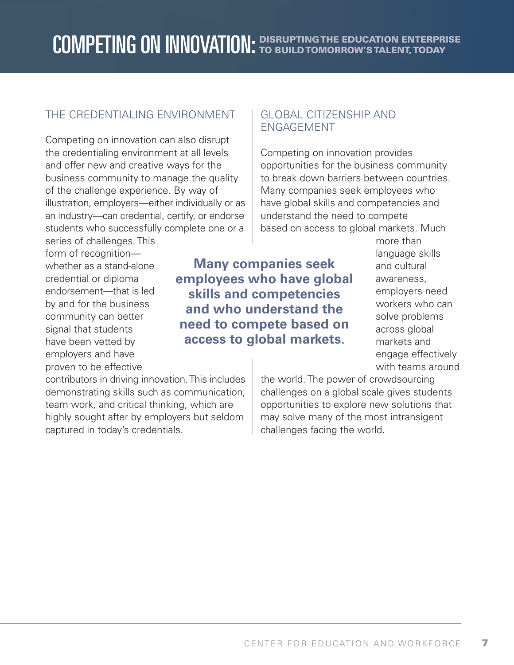#### THE CREDENTIALING ENVIRONMENT

Competing on innovation can also disrupt the credentialing environment at all levels and offer new and creative ways for the business community to manage the quality of the challenge experience. By way of illustration, employers—either individually or as an industry—can credential, certify, or endorse students who successfully complete one or a series of challenges. This

#### GLOBAL CITIZENSHIP AND ENGAGEMENT

Competing on innovation provides opportunities for the business community to break down barriers between countries. Many companies seek employees who have global skills and competencies and understand the need to compete based on access to global markets. Much

form of recognition whether as a stand-alone credential or diploma endorsement—that is led by and for the business community can better signal that students have been vetted by employers and have proven to be effective

contributors in driving innovation. This includes demonstrating skills such as communication, team work, and critical thinking, which are highly sought after by employers but seldom captured in today's credentials.

**Many companies seek employees who have global skills and competencies and who understand the need to compete based on access to global markets.**

more than language skills and cultural awareness, employers need workers who can solve problems across global markets and engage effectively with teams around

the world. The power of crowdsourcing challenges on a global scale gives students opportunities to explore new solutions that may solve many of the most intransigent challenges facing the world.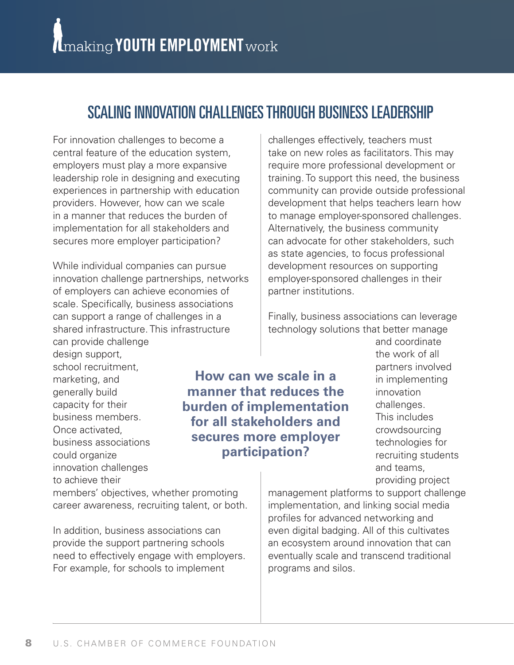## SCALING INNOVATION CHALLENGES THROUGH BUSINESS LEADERSHIP

For innovation challenges to become a central feature of the education system, employers must play a more expansive leadership role in designing and executing experiences in partnership with education providers. However, how can we scale in a manner that reduces the burden of implementation for all stakeholders and secures more employer participation?

While individual companies can pursue innovation challenge partnerships, networks of employers can achieve economies of scale. Specifically, business associations can support a range of challenges in a shared infrastructure. This infrastructure can provide challenge

design support, school recruitment, marketing, and generally build capacity for their business members. Once activated, business associations could organize innovation challenges to achieve their

**How can we scale in a manner that reduces the burden of implementation for all stakeholders and secures more employer participation?**

members' objectives, whether promoting career awareness, recruiting talent, or both.

In addition, business associations can provide the support partnering schools need to effectively engage with employers. For example, for schools to implement

challenges effectively, teachers must take on new roles as facilitators. This may require more professional development or training. To support this need, the business community can provide outside professional development that helps teachers learn how to manage employer-sponsored challenges. Alternatively, the business community can advocate for other stakeholders, such as state agencies, to focus professional development resources on supporting employer-sponsored challenges in their partner institutions.

Finally, business associations can leverage technology solutions that better manage

> and coordinate the work of all partners involved in implementing innovation challenges. This includes crowdsourcing technologies for recruiting students and teams, providing project

management platforms to support challenge implementation, and linking social media profiles for advanced networking and even digital badging. All of this cultivates an ecosystem around innovation that can eventually scale and transcend traditional programs and silos.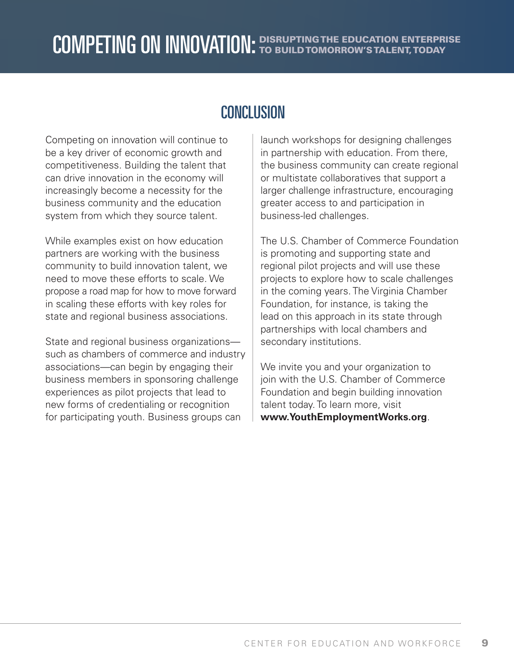## **CONCLUSION**

Competing on innovation will continue to be a key driver of economic growth and competitiveness. Building the talent that can drive innovation in the economy will increasingly become a necessity for the business community and the education system from which they source talent.

While examples exist on how education partners are working with the business community to build innovation talent, we need to move these efforts to scale. We propose a road map for how to move forward in scaling these efforts with key roles for state and regional business associations.

State and regional business organizations such as chambers of commerce and industry associations—can begin by engaging their business members in sponsoring challenge experiences as pilot projects that lead to new forms of credentialing or recognition for participating youth. Business groups can

launch workshops for designing challenges in partnership with education. From there, the business community can create regional or multistate collaboratives that support a larger challenge infrastructure, encouraging greater access to and participation in business-led challenges.

The U.S. Chamber of Commerce Foundation is promoting and supporting state and regional pilot projects and will use these projects to explore how to scale challenges in the coming years. The Virginia Chamber Foundation, for instance, is taking the lead on this approach in its state through partnerships with local chambers and secondary institutions.

We invite you and your organization to join with the U.S. Chamber of Commerce Foundation and begin building innovation talent today. To learn more, visit **www.YouthEmploymentWorks.org**.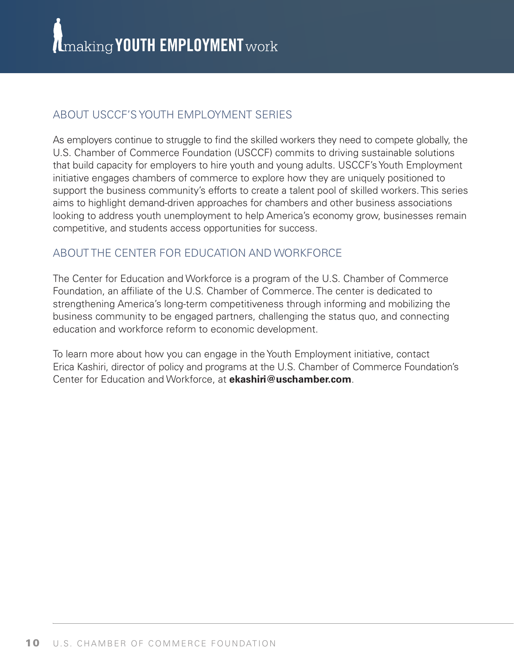#### ABOUT USCCF'S YOUTH EMPLOYMENT SERIES

As employers continue to struggle to find the skilled workers they need to compete globally, the U.S. Chamber of Commerce Foundation (USCCF) commits to driving sustainable solutions that build capacity for employers to hire youth and young adults. USCCF's Youth Employment initiative engages chambers of commerce to explore how they are uniquely positioned to support the business community's efforts to create a talent pool of skilled workers. This series aims to highlight demand-driven approaches for chambers and other business associations looking to address youth unemployment to help America's economy grow, businesses remain competitive, and students access opportunities for success.

#### ABOUT THE CENTER FOR EDUCATION AND WORKFORCE

The Center for Education and Workforce is a program of the U.S. Chamber of Commerce Foundation, an affiliate of the U.S. Chamber of Commerce. The center is dedicated to strengthening America's long-term competitiveness through informing and mobilizing the business community to be engaged partners, challenging the status quo, and connecting education and workforce reform to economic development.

To learn more about how you can engage in the Youth Employment initiative, contact Erica Kashiri, director of policy and programs at the U.S. Chamber of Commerce Foundation's Center for Education and Workforce, at **ekashiri@uschamber.com**.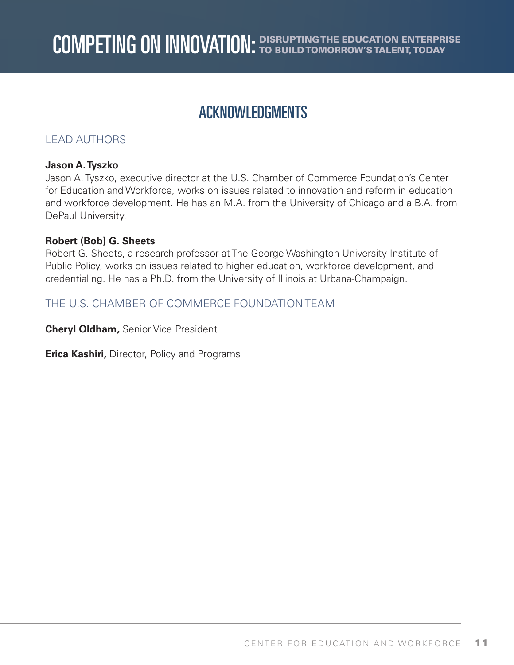## ACKNOWLEDGMENTS

#### LEAD AUTHORS

#### **Jason A. Tyszko**

Jason A. Tyszko, executive director at the U.S. Chamber of Commerce Foundation's Center for Education and Workforce, works on issues related to innovation and reform in education and workforce development. He has an M.A. from the University of Chicago and a B.A. from DePaul University.

#### **Robert (Bob) G. Sheets**

Robert G. Sheets, a research professor at The George Washington University Institute of Public Policy, works on issues related to higher education, workforce development, and credentialing. He has a Ph.D. from the University of Illinois at Urbana-Champaign.

#### THE U.S. CHAMBER OF COMMERCE FOUNDATION TEAM

**Cheryl Oldham,** Senior Vice President

**Erica Kashiri,** Director, Policy and Programs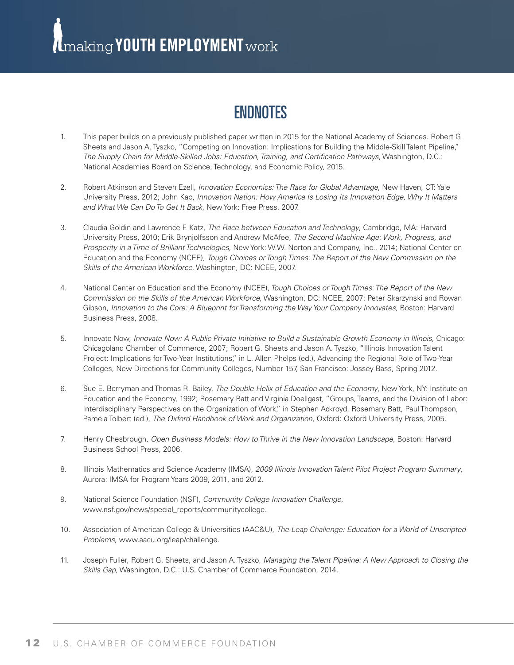(Imaking YOUTH EMPLOYMENT work

## **ENDNOTES**

- 1. This paper builds on a previously published paper written in 2015 for the National Academy of Sciences. Robert G. Sheets and Jason A. Tyszko, "Competing on Innovation: Implications for Building the Middle-Skill Talent Pipeline," *The Supply Chain for Middle-Skilled Jobs: Education, Training, and Certification Pathways*, Washington, D.C.: National Academies Board on Science, Technology, and Economic Policy, 2015.
- 2. Robert Atkinson and Steven Ezell, *Innovation Economics: The Race for Global Advantage*, New Haven, CT: Yale University Press, 2012; John Kao, *Innovation Nation: How America Is Losing Its Innovation Edge, Why It Matters and What We Can Do To Get It Back*, New York: Free Press, 2007.
- 3. Claudia Goldin and Lawrence F. Katz, *The Race between Education and Technology*, Cambridge, MA: Harvard University Press, 2010; Erik Brynjolfsson and Andrew McAfee, *The Second Machine Age: Work, Progress, and Prosperity in a Time of Brilliant Technologies*, New York: W.W. Norton and Company, Inc., 2014; National Center on Education and the Economy (NCEE), *Tough Choices or Tough Times: The Report of the New Commission on the Skills of the American Workforce*, Washington, DC: NCEE, 2007.
- 4. National Center on Education and the Economy (NCEE), *Tough Choices or Tough Times: The Report of the New Commission on the Skills of the American Workforce*, Washington, DC: NCEE, 2007; Peter Skarzynski and Rowan Gibson, *Innovation to the Core: A Blueprint for Transforming the Way Your Company Innovates*, Boston: Harvard Business Press, 2008.
- 5. Innovate Now, *Innovate Now: A Public-Private Initiative to Build a Sustainable Growth Economy in Illinois*, Chicago: Chicagoland Chamber of Commerce, 2007; Robert G. Sheets and Jason A. Tyszko, "Illinois Innovation Talent Project: Implications for Two-Year Institutions," in L. Allen Phelps (ed.), Advancing the Regional Role of Two-Year Colleges, New Directions for Community Colleges, Number 157, San Francisco: Jossey-Bass, Spring 2012.
- 6. Sue E. Berryman and Thomas R. Bailey, *The Double Helix of Education and the Economy*, New York, NY: Institute on Education and the Economy, 1992; Rosemary Batt and Virginia Doellgast, "Groups, Teams, and the Division of Labor: Interdisciplinary Perspectives on the Organization of Work," in Stephen Ackroyd, Rosemary Batt, Paul Thompson, Pamela Tolbert (ed.), *The Oxford Handbook of Work and Organization*, Oxford: Oxford University Press, 2005.
- 7. Henry Chesbrough, *Open Business Models: How to Thrive in the New Innovation Landscape*, Boston: Harvard Business School Press, 2006.
- 8. Illinois Mathematics and Science Academy (IMSA), *2009 Illinois Innovation Talent Pilot Project Program Summary*, Aurora: IMSA for Program Years 2009, 2011, and 2012.
- 9. National Science Foundation (NSF), *Community College Innovation Challenge*, www.nsf.gov/news/special\_reports/communitycollege.
- 10. Association of American College & Universities (AAC&U), *The Leap Challenge: Education for a World of Unscripted Problems*, www.aacu.org/leap/challenge.
- 11. Joseph Fuller, Robert G. Sheets, and Jason A. Tyszko, *Managing the Talent Pipeline: A New Approach to Closing the Skills Gap*, Washington, D.C.: U.S. Chamber of Commerce Foundation, 2014.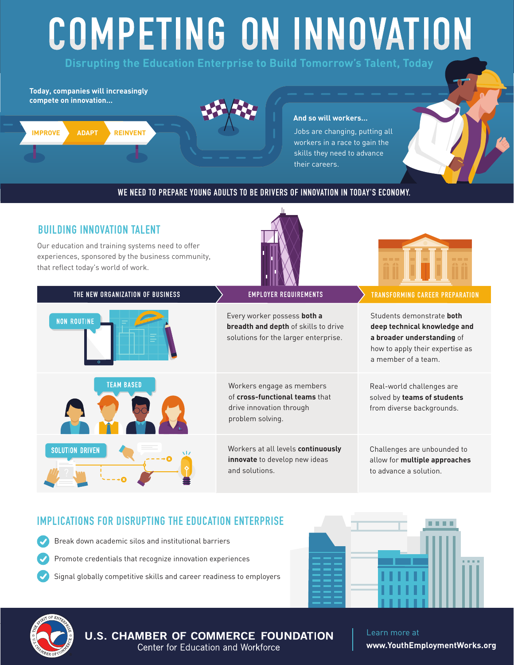# COMPETING ON INNOVATION: DISRUPTING THE EDUCATION ENTERPRISE TO BUILD TOMORROW'S TALENT, TODAY

**Disrupting the Education Enterprise to Build Tomorrow's Talent, Today**

**Today, companies will increasingly compete on innovation…**





#### **And so will workers…**

Jobs are changing, putting all workers in a race to gain the skills they need to advance their careers.

#### WE NEED TO PREPARE YOUNG ADULTS TO BE DRIVERS OF INNOVATION IN TODAY'S ECONOMY.

#### BUILDING INNOVATION TALENT

Our education and training systems need to offer experiences, sponsored by the business community, that reflect today's world of work.





| THE NEW ORGANIZATION OF BUSINESS | <b>EMPLOYER REQUIREMENTS</b>                                                                                       | <b>TRANSFORMING CAREER PREPARATION</b>                                                                                                            |
|----------------------------------|--------------------------------------------------------------------------------------------------------------------|---------------------------------------------------------------------------------------------------------------------------------------------------|
| <b>NON ROUTINE</b><br>₽          | Every worker possess both a<br><b>breadth and depth</b> of skills to drive<br>solutions for the larger enterprise. | Students demonstrate both<br>deep technical knowledge and<br>a broader understanding of<br>how to apply their expertise as<br>a member of a team. |
| <b>TEAM BASED</b>                | Workers engage as members<br>of cross-functional teams that<br>drive innovation through<br>problem solving.        | Real-world challenges are<br>solved by teams of students<br>from diverse backgrounds.                                                             |
| <b>SOLUTION DRIVEN</b><br>w      | Workers at all levels continuously<br><b>innovate</b> to develop new ideas<br>and solutions.                       | Challenges are unbounded to<br>allow for multiple approaches<br>to advance a solution.                                                            |

#### IMPLICATIONS FOR DISRUPTING THE EDUCATION ENTERPRISE

- Break down academic silos and institutional barriers Promote credentials that recognize innovation experiences
	- Signal globally competitive skills and career readiness to employers





CENTER FOR EDUCATION AND WORKFORCE 13 **www.YouthEmploymentWorks.org** Learn more at